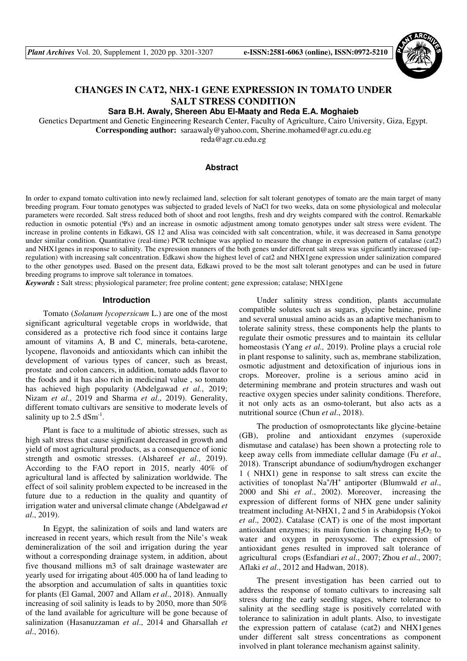

# **CHANGES IN CAT2, NHX-1 GENE EXPRESSION IN TOMATO UNDER SALT STRESS CONDITION**

**Sara B.H. Awaly, Shereen Abu El-Maaty and Reda E.A. Moghaieb** 

Genetics Department and Genetic Engineering Research Center, Faculty of Agriculture, Cairo University, Giza, Egypt.

**Corresponding author:** saraawaly@yahoo.com, Sherine.mohamed@agr.cu.edu.eg

reda@agr.cu.edu.eg

# **Abstract**

In order to expand tomato cultivation into newly reclaimed land, selection for salt tolerant genotypes of tomato are the main target of many breeding program. Four tomato genotypes was subjected to graded levels of NaCl for two weeks, data on some physiological and molecular parameters were recorded. Salt stress reduced both of shoot and root lengths, fresh and dry weights compared with the control. Remarkable reduction in osmotic potential (Ψs) and an increase in osmotic adjustment among tomato genotypes under salt stress were evident. The increase in proline contents in Edkawi, GS 12 and Alisa was coincided with salt concentration, while, it was decreased in Sama genotype under similar condition. Quantitative (real-time) PCR technique was applied to measure the change in expression pattern of catalase (cat2) and NHX1genes in response to salinity. The expression manners of the both genes under different salt stress was significantly increased (upregulation) with increasing salt concentration. Edkawi show the highest level of cat2 and NHX1gene expression under salinization compared to the other genotypes used. Based on the present data, Edkawi proved to be the most salt tolerant genotypes and can be used in future breeding programs to improve salt tolerance in tomatoes.

*Keywords* **:** Salt stress; physiological parameter; free proline content; gene expression; catalase; NHX1gene

#### **Introduction**

Tomato (*Solanum lycopersicum* L.) are one of the most significant agricultural vegetable crops in worldwide, that considered as a protective rich food since it contains large amount of vitamins A, B and C, minerals, beta-carotene, lycopene, flavonoids and antioxidants which can inhibit the development of various types of cancer, such as breast, prostate and colon cancers, in addition, tomato adds flavor to the foods and it has also rich in medicinal value , so tomato has achieved high popularity (Abdelgawad *et al.*, 2019; Nizam *et al*., 2019 and Sharma *et al*., 2019). Generality, different tomato cultivars are sensitive to moderate levels of salinity up to  $2.5 \text{ dSm}^{-1}$ .

Plant is face to a multitude of abiotic stresses, such as high salt stress that cause significant decreased in growth and yield of most agricultural products, as a consequence of ionic strength and osmotic stresses. (Alshareef *et al*., 2019). According to the FAO report in 2015, nearly 40% of agricultural land is affected by salinization worldwide. The effect of soil salinity problem expected to be increased in the future due to a reduction in the quality and quantity of irrigation water and universal climate change (Abdelgawad *et al*., 2019).

In Egypt, the salinization of soils and land waters are increased in recent years, which result from the Nile's weak demineralization of the soil and irrigation during the year without a corresponding drainage system, in addition, about five thousand millions m3 of salt drainage wastewater are yearly used for irrigating about 405.000 ha of land leading to the absorption and accumulation of salts in quantities toxic for plants (El Gamal, 2007 and Allam *et al*., 2018). Annually increasing of soil salinity is leads to by 2050, more than 50% of the land available for agriculture will be gone because of salinization (Hasanuzzaman *et al*., 2014 and Gharsallah *et al*., 2016).

Under salinity stress condition, plants accumulate compatible solutes such as sugars, glycine betaine, proline and several unusual amino acids as an adaptive mechanism to tolerate salinity stress, these components help the plants to regulate their osmotic pressures and to maintain its cellular homeostasis (Yang *et al.,* 2019). Proline plays a crucial role in plant response to salinity, such as, membrane stabilization, osmotic adjustment and detoxification of injurious ions in crops. Moreover, proline is a serious amino acid in determining membrane and protein structures and wash out reactive oxygen species under salinity conditions. Therefore, it not only acts as an osmo-tolerant, but also acts as a nutritional source (Chun *et al*., 2018).

The production of osmoprotectants like glycine-betaine (GB), proline and antioxidant enzymes (superoxide dismutase and catalase) has been shown a protecting role to keep away cells from immediate cellular damage (Fu *et al*., 2018). Transcript abundance of sodium/hydrogen exchanger 1 ( NHX1) gene in response to salt stress can excite the activities of tonoplast Na<sup>+</sup>/H<sup>+</sup> antiporter (Blumwald et al., 2000 and Shi *et al*., 2002). Moreover, increasing the expression of different forms of NHX gene under salinity treatment including At-NHX1, 2 and 5 in Arabidopsis (Yokoi *et al*., 2002). Catalase (CAT) is one of the most important antioxidant enzymes; its main function is changing  $H_2O_2$  to water and oxygen in peroxysome. The expression of antioxidant genes resulted in improved salt tolerance of agricultural crops (Esfandiari *et al*., 2007; Zhou *et al*., 2007; Aflaki *et al*., 2012 and Hadwan, 2018).

The present investigation has been carried out to address the response of tomato cultivars to increasing salt stress during the early seedling stages, where tolerance to salinity at the seedling stage is positively correlated with tolerance to salinization in adult plants. Also, to investigate the expression pattern of catalase (cat2) and NHX1genes under different salt stress concentrations as component involved in plant tolerance mechanism against salinity.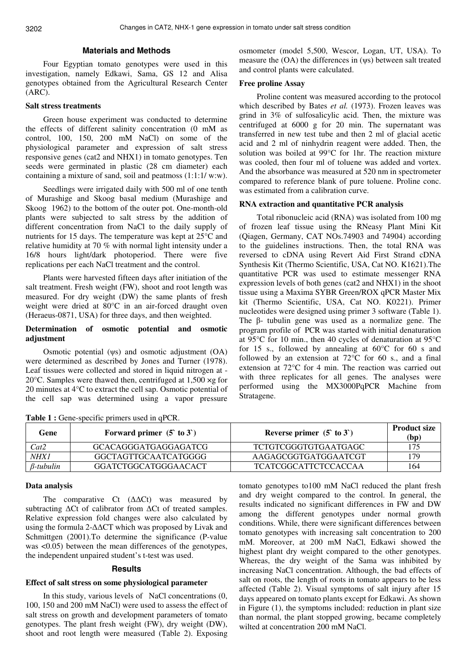# **Materials and Methods**

Four Egyptian tomato genotypes were used in this investigation, namely Edkawi, Sama, GS 12 and Alisa genotypes obtained from the Agricultural Research Center (ARC).

# **Salt stress treatments**

Green house experiment was conducted to determine the effects of different salinity concentration (0 mM as control, 100, 150, 200 mM NaCl) on some of the physiological parameter and expression of salt stress responsive genes (cat2 and NHX1) in tomato genotypes. Ten seeds were germinated in plastic (28 cm diameter) each containing a mixture of sand, soil and peatmoss (1:1:1/ w:w).

Seedlings were irrigated daily with 500 ml of one tenth of Murashige and Skoog basal medium (Murashige and Skoog 1962) to the bottom of the outer pot. One-month-old plants were subjected to salt stress by the addition of different concentration from NaCl to the daily supply of nutrients for 15 days. The temperature was kept at 25°C and relative humidity at 70 % with normal light intensity under a 16/8 hours light/dark photoperiod. There were five replications per each NaCl treatment and the control.

Plants were harvested fifteen days after initiation of the salt treatment. Fresh weight (FW), shoot and root length was measured. For dry weight (DW) the same plants of fresh weight were dried at 80°C in an air-forced draught oven (Heraeus-0871, USA) for three days, and then weighted.

## **Determination of osmotic potential and osmotic adjustment**

Osmotic potential (ψs) and osmotic adjustment (OA) were determined as described by Jones and Turner (1978). Leaf tissues were collected and stored in liquid nitrogen at - 20°C. Samples were thawed then, centrifuged at 1,500 ×g for 20 minutes at 4°C to extract the cell sap. Osmotic potential of the cell sap was determined using a vapor pressure

osmometer (model 5,500, Wescor, Logan, UT, USA). To measure the (OA) the differences in (ψs) between salt treated and control plants were calculated.

### **Free proline Assay**

Proline content was measured according to the protocol which described by Bates *et al.* (1973). Frozen leaves was grind in 3% of sulfosalicylic acid. Then, the mixture was centrifuged at 6000 g for 20 min. The supernatant was transferred in new test tube and then 2 ml of glacial acetic acid and 2 ml of ninhydrin reagent were added. Then, the solution was boiled at 99°C for 1hr. The reaction mixture was cooled, then four ml of toluene was added and vortex. And the absorbance was measured at 520 nm in spectrometer compared to reference blank of pure toluene. Proline conc. was estimated from a calibration curve.

### **RNA extraction and quantitative PCR analysis**

Total ribonucleic acid (RNA) was isolated from 100 mg of frozen leaf tissue using the RNeasy Plant Mini Kit (Qiagen, Germany, CAT NOs.74903 and 74904) according to the guidelines instructions. Then, the total RNA was reversed to cDNA using Revert Aid First Strand cDNA Synthesis Kit (Thermo Scientific, USA, Cat NO. K1621).The quantitative PCR was used to estimate messenger RNA expression levels of both genes (cat2 and NHX1) in the shoot tissue using a Maxima SYBR Green/ROX qPCR Master Mix kit (Thermo Scientific, USA, Cat NO. K0221). Primer nucleotides were designed using primer 3 software (Table 1). The β- tubulin gene was used as a normalize gene. The program profile of PCR was started with initial denaturation at 95°C for 10 min., then 40 cycles of denaturation at 95°C for 15 s., followed by annealing at 60°C for 60 s and followed by an extension at  $72^{\circ}$ C for 60 s., and a final extension at 72°C for 4 min. The reaction was carried out with three replicates for all genes. The analyses were performed using the MX3000PqPCR Machine from Stratagene.

| Gene             | Forward primer $(5 \text{ to } 3)$ | Reverse primer $(5 \text{ to } 3)$ | <b>Product size</b><br>(bp) |
|------------------|------------------------------------|------------------------------------|-----------------------------|
| Cat2             | GCACAGGGATGAGGAGATCG               | <b>TCTGTCGGGTGTGAATGAGC</b>        | 175                         |
| NHX1             | GGCTAGTTGCAATCATGGGG               | AAGAGCGGTGATGGAATCGT               | 179                         |
| $\beta$ -tubulin | GGATCTGGCATGGGAACACT               | <b>TCATCGGCATTCTCCACCAA</b>        | 164                         |

**Table 1 :** Gene-specific primers used in qPCR.

# **Data analysis**

The comparative Ct  $(\Delta \Delta \text{C}t)$  was measured by subtracting ∆Ct of calibrator from ∆Ct of treated samples. Relative expression fold changes were also calculated by using the formula 2-∆∆CT which was proposed by Livak and Schmittgen (2001).To determine the significance (P-value was <0.05) between the mean differences of the genotypes, the independent unpaired student's t-test was used.

### **Results**

### **Effect of salt stress on some physiological parameter**

In this study, various levels of NaCl concentrations (0, 100, 150 and 200 mM NaCl) were used to assess the effect of salt stress on growth and development parameters of tomato genotypes. The plant fresh weight (FW), dry weight (DW), shoot and root length were measured (Table 2). Exposing

tomato genotypes to100 mM NaCl reduced the plant fresh and dry weight compared to the control. In general, the results indicated no significant differences in FW and DW among the different genotypes under normal growth conditions. While, there were significant differences between tomato genotypes with increasing salt concentration to 200 mM. Moreover, at 200 mM NaCl, Edkawi showed the highest plant dry weight compared to the other genotypes. Whereas, the dry weight of the Sama was inhibited by increasing NaCl concentration. Although, the bad effects of salt on roots, the length of roots in tomato appears to be less affected (Table 2). Visual symptoms of salt injury after 15 days appeared on tomato plants except for Edkawi. As shown in Figure (1), the symptoms included: reduction in plant size than normal, the plant stopped growing, became completely wilted at concentration 200 mM NaCl.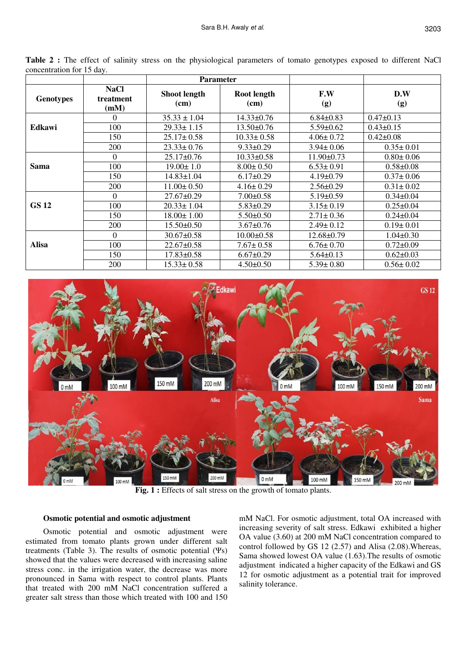|                  |                                  |                             | <b>Parameter</b>    |                  |                 |
|------------------|----------------------------------|-----------------------------|---------------------|------------------|-----------------|
| <b>Genotypes</b> | <b>NaCl</b><br>treatment<br>(mM) | <b>Shoot length</b><br>(cm) | Root length<br>(cm) | F.W<br>(g)       | D.W<br>(g)      |
|                  | $\theta$                         | $35.33 \pm 1.04$            | $14.33 \pm 0.76$    | $6.84 \pm 0.83$  | $0.47 \pm 0.13$ |
| Edkawi           | 100                              | $29.33 \pm 1.15$            | $13.50 \pm 0.76$    | $5.59 \pm 0.62$  | $0.43 \pm 0.15$ |
|                  | 150                              | $25.17 \pm 0.58$            | $10.33 \pm 0.58$    | $4.06 \pm 0.72$  | $0.42 \pm 0.08$ |
|                  | 200                              | $23.33 \pm 0.76$            | $9.33 \pm 0.29$     | $3.94 \pm 0.06$  | $0.35 \pm 0.01$ |
|                  | $\Omega$                         | $25.17 \pm 0.76$            | $10.33 \pm 0.58$    | $11.90 \pm 0.73$ | $0.80 \pm 0.06$ |
| Sama             | 100                              | $19.00 \pm 1.0$             | $8.00 \pm 0.50$     | $6.53 \pm 0.91$  | $0.58 \pm 0.08$ |
|                  | 150                              | $14.83 \pm 1.04$            | $6.17\pm0.29$       | $4.19 \pm 0.79$  | $0.37 \pm 0.06$ |
|                  | 200                              | $11.00 \pm 0.50$            | $4.16 \pm 0.29$     | $2.56 \pm 0.29$  | $0.31 \pm 0.02$ |
|                  | $\Omega$                         | $27.67 \pm 0.29$            | $7.00 \pm 0.58$     | $5.19 \pm 0.59$  | $0.34 \pm 0.04$ |
| <b>GS 12</b>     | 100                              | $20.33 \pm 1.04$            | $5.83 \pm 0.29$     | $3.15 \pm 0.19$  | $0.25 \pm 0.04$ |
|                  | 150                              | $18.00 \pm 1.00$            | $5.50 \pm 0.50$     | $2.71 \pm 0.36$  | $0.24 \pm 0.04$ |
|                  | 200                              | $15.50 \pm 0.50$            | $3.67 \pm 0.76$     | $2.49 \pm 0.12$  | $0.19 \pm 0.01$ |
|                  | $\Omega$                         | $30.67 \pm 0.58$            | $10.00 \pm 0.58$    | $12.68 \pm 0.79$ | $1.04 \pm 0.30$ |
| <b>Alisa</b>     | 100                              | $22.67 \pm 0.58$            | $7.67 \pm 0.58$     | $6.76 \pm 0.70$  | $0.72 \pm 0.09$ |
|                  | 150                              | $17.83 \pm 0.58$            | $6.67 \pm 0.29$     | $5.64 \pm 0.13$  | $0.62 \pm 0.03$ |
|                  | 200                              | $15.33 \pm 0.58$            | $4.50 \pm 0.50$     | $5.39 \pm 0.80$  | $0.56 \pm 0.02$ |

Table 2 : The effect of salinity stress on the physiological parameters of tomato genotypes exposed to different NaCl concentration for 15 day.



**Fig. 1 :** Effects of salt stress on the growth of tomato plants.

# **Osmotic potential and osmotic adjustment**

Osmotic potential and osmotic adjustment were estimated from tomato plants grown under different salt treatments (Table 3). The results of osmotic potential  $(\Psi s)$ showed that the values were decreased with increasing saline stress conc. in the irrigation water, the decrease was more pronounced in Sama with respect to control plants. Plants that treated with 200 mM NaCl concentration suffered a greater salt stress than those which treated with 100 and 150 mM NaCl. For osmotic adjustment, total OA increased with increasing severity of salt stress. Edkawi exhibited a higher OA value (3.60) at 200 mM NaCl concentration compared to control followed by GS 12 (2.57) and Alisa (2.08).Whereas, Sama showed lowest OA value (1.63).The results of osmotic adjustment indicated a higher capacity of the Edkawi and GS 12 for osmotic adjustment as a potential trait for improved salinity tolerance.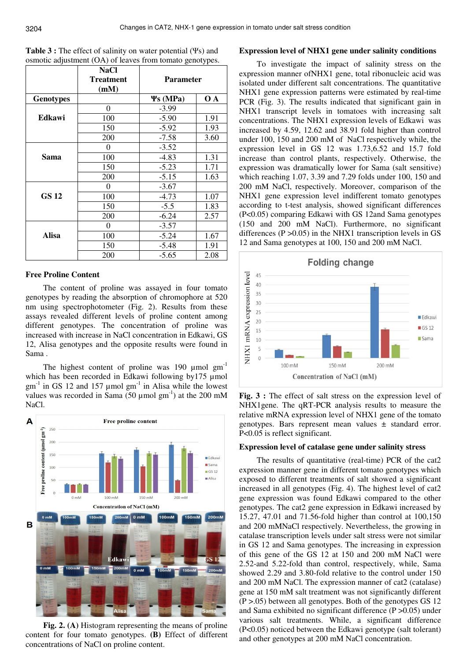| <b>Table 3 :</b> The effect of salinity on water potential $(\Psi s)$ and |  |
|---------------------------------------------------------------------------|--|
| osmotic adjustment (OA) of leaves from tomato genotypes.                  |  |

|                  | <b>NaCl</b><br><b>Treatment</b><br>(mM) | <b>Parameter</b> |      |
|------------------|-----------------------------------------|------------------|------|
| <b>Genotypes</b> |                                         | $\Psi$ s (MPa)   | O A  |
|                  | $\theta$                                | $-3.99$          |      |
| <b>Edkawi</b>    | 100                                     | $-5.90$          | 1.91 |
|                  | 150                                     | $-5.92$          | 1.93 |
|                  | 200                                     | $-7.58$          | 3.60 |
|                  | $\mathbf{\Omega}$                       | $-3.52$          |      |
| Sama             | 100                                     | $-4.83$          | 1.31 |
|                  | 150                                     | $-5.23$          | 1.71 |
|                  | 200                                     | $-5.15$          | 1.63 |
|                  | 0                                       | $-3.67$          |      |
| <b>GS 12</b>     | 100                                     | $-4.73$          | 1.07 |
|                  | 150                                     | $-5.5$           | 1.83 |
|                  | 200                                     | $-6.24$          | 2.57 |
|                  | $\mathbf{\Omega}$                       | $-3.57$          |      |
| Alisa            | 100                                     | $-5.24$          | 1.67 |
|                  | 150                                     | $-5.48$          | 1.91 |
|                  | 200                                     | $-5.65$          | 2.08 |

### **Free Proline Content**

The content of proline was assayed in four tomato genotypes by reading the absorption of chromophore at 520 nm using spectrophotometer (Fig. 2). Results from these assays revealed different levels of proline content among different genotypes. The concentration of proline was increased with increase in NaCl concentration in Edkawi, GS 12, Alisa genotypes and the opposite results were found in Sama .

The highest content of proline was 190  $\mu$ mol  $gm^{-1}$ which has been recorded in Edkawi following by175 µmol  $gm^{-1}$  in GS 12 and 157 µmol  $gm^{-1}$  in Alisa while the lowest values was recorded in Sama (50  $\mu$ mol gm<sup>-1</sup>) at the 200 mM NaCl.



**Fig. 2. (A)** Histogram representing the means of proline content for four tomato genotypes. **(B)** Effect of different concentrations of NaCl on proline content.

### **Expression level of NHX1 gene under salinity conditions**

To investigate the impact of salinity stress on the expression manner ofNHX1 gene, total ribonucleic acid was isolated under different salt concentrations. The quantitative NHX1 gene expression patterns were estimated by real-time PCR (Fig. 3). The results indicated that significant gain in NHX1 transcript levels in tomatoes with increasing salt concentrations. The NHX1 expression levels of Edkawi was increased by 4.59, 12.62 and 38.91 fold higher than control under 100, 150 and 200 mM of NaCl respectively while, the expression level in GS 12 was 1.73,6.52 and 15.7 fold increase than control plants, respectively. Otherwise, the expression was dramatically lower for Sama (salt sensitive) which reaching 1.07, 3.39 and 7.29 folds under 100, 150 and 200 mM NaCl, respectively. Moreover, comparison of the NHX1 gene expression level indifferent tomato genotypes according to t-test analysis, showed significant differences (P<0.05) comparing Edkawi with GS 12and Sama genotypes (150 and 200 mM NaCl). Furthermore, no significant differences ( $P > 0.05$ ) in the NHX1 transcription levels in GS 12 and Sama genotypes at 100, 150 and 200 mM NaCl.



**Fig. 3 :** The effect of salt stress on the expression level of NHX1gene. The qRT-PCR analysis results to measure the relative mRNA expression level of NHX1 gene of the tomato genotypes. Bars represent mean values ± standard error. P<0.05 is reflect significant.

#### **Expression level of catalase gene under salinity stress**

The results of quantitative (real-time) PCR of the cat2 expression manner gene in different tomato genotypes which exposed to different treatments of salt showed a significant increased in all genotypes (Fig. 4). The highest level of cat2 gene expression was found Edkawi compared to the other genotypes. The cat2 gene expression in Edkawi increased by 15.27, 47.01 and 71.56-fold higher than control at 100,150 and 200 mMNaCl respectively. Nevertheless, the growing in catalase transcription levels under salt stress were not similar in GS 12 and Sama genotypes. The increasing in expression of this gene of the GS 12 at 150 and 200 mM NaCl were 2.52-and 5.22-fold than control, respectively, while, Sama showed 2.29 and 3.80-fold relative to the control under 150 and 200 mM NaCl. The expression manner of cat2 (catalase) gene at 150 mM salt treatment was not significantly different (P >.05) between all genotypes. Both of the genotypes GS 12 and Sama exhibited no significant difference (P >0.05) under various salt treatments. While, a significant difference (P<0.05) noticed between the Edkawi genotype (salt tolerant) and other genotypes at 200 mM NaCl concentration.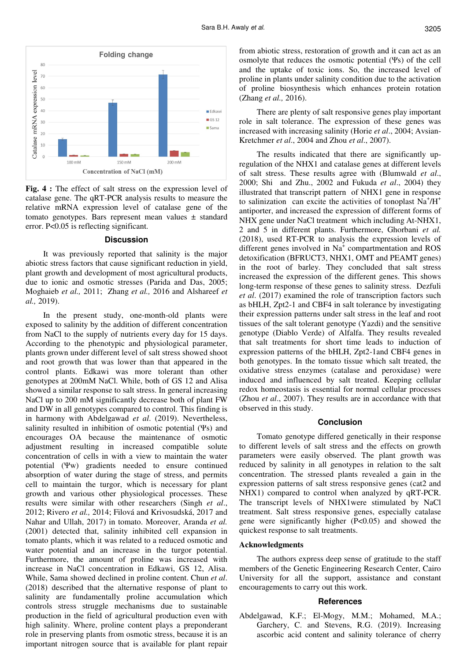

**Fig. 4 :** The effect of salt stress on the expression level of catalase gene. The qRT-PCR analysis results to measure the relative mRNA expression level of catalase gene of the tomato genotypes. Bars represent mean values  $\pm$  standard error. P<0.05 is reflecting significant.

#### **Discussion**

It was previously reported that salinity is the major abiotic stress factors that cause significant reduction in yield, plant growth and development of most agricultural products, due to ionic and osmotic stresses (Parida and Das, 2005; Moghaieb *et al.,* 2011; Zhang *et al.,* 2016 and Alshareef *et al.,* 2019).

In the present study, one-month-old plants were exposed to salinity by the addition of different concentration from NaCl to the supply of nutrients every day for 15 days. According to the phenotypic and physiological parameter, plants grown under different level of salt stress showed shoot and root growth that was lower than that appeared in the control plants. Edkawi was more tolerant than other genotypes at 200mM NaCl. While, both of GS 12 and Alisa showed a similar response to salt stress. In general increasing NaCl up to 200 mM significantly decrease both of plant FW and DW in all genotypes compared to control. This finding is in harmony with Abdelgawad *et al*. (2019). Nevertheless, salinity resulted in inhibition of osmotic potential (Ψs) and encourages OA because the maintenance of osmotic adjustment resulting in increased compatible solute concentration of cells in with a view to maintain the water potential (Ψw) gradients needed to ensure continued absorption of water during the stage of stress, and permits cell to maintain the turgor, which is necessary for plant growth and various other physiological processes. These results were similar with other researchers (Singh *et al*., 2012; Rivero *et al.,* 2014; Filová and Krivosudská, 2017 and Nahar and Ullah, 2017) in tomato. Moreover, Aranda *et al.* (2001) detected that, salinity inhibited cell expansion in tomato plants, which it was related to a reduced osmotic and water potential and an increase in the turgor potential. Furthermore, the amount of proline was increased with increase in NaCl concentration in Edkawi, GS 12, Alisa. While, Sama showed declined in proline content. Chun *et al*. (2018) described that the alternative response of plant to salinity are fundamentally proline accumulation which controls stress struggle mechanisms due to sustainable production in the field of agricultural production even with high salinity. Where, proline content plays a preponderant role in preserving plants from osmotic stress, because it is an important nitrogen source that is available for plant repair

from abiotic stress, restoration of growth and it can act as an osmolyte that reduces the osmotic potential (Ψs) of the cell and the uptake of toxic ions. So, the increased level of proline in plants under salinity condition due to the activation of proline biosynthesis which enhances protein rotation (Zhang *et al.,* 2016).

There are plenty of salt responsive genes play important role in salt tolerance. The expression of these genes was increased with increasing salinity (Horie *et al*., 2004; Avsian-Kretchmer *et al*., 2004 and Zhou *et al*., 2007).

The results indicated that there are significantly upregulation of the NHX1 and catalase genes at different levels of salt stress. These results agree with (Blumwald *et al*., 2000; Shi and Zhu., 2002 and Fukuda *et al*., 2004) they illustrated that transcript pattern of NHX1 gene in response to salinization can excite the activities of tonoplast  $Na^+/H^+$ antiporter, and increased the expression of different forms of NHX gene under NaCl treatment which including At-NHX1, 2 and 5 in different plants. Furthermore, Ghorbani *et al.* (2018), used RT-PCR to analysis the expression levels of different genes involved in Na<sup>+</sup> compartmentation and ROS detoxification (BFRUCT3, NHX1, OMT and PEAMT genes) in the root of barley. They concluded that salt stress increased the expression of the different genes. This shows long-term response of these genes to salinity stress. Dezfuli *et al*. (2017) examined the role of transcription factors such as bHLH, Zpt2-1 and CBF4 in salt tolerance by investigating their expression patterns under salt stress in the leaf and root tissues of the salt tolerant genotype (Yazdi) and the sensitive genotype (Diablo Verde) of Alfalfa. They results revealed that salt treatments for short time leads to induction of expression patterns of the bHLH, Zpt2-1and CBF4 genes in both genotypes. In the tomato tissue which salt treated, the oxidative stress enzymes (catalase and peroxidase) were induced and influenced by salt treated. Keeping cellular redox homeostasis is essential for normal cellular processes (Zhou *et al*., 2007). They results are in accordance with that observed in this study.

#### **Conclusion**

Tomato genotype differed genetically in their response to different levels of salt stress and the effects on growth parameters were easily observed. The plant growth was reduced by salinity in all genotypes in relation to the salt concentration. The stressed plants revealed a gain in the expression patterns of salt stress responsive genes (cat2 and NHX1) compared to control when analyzed by qRT-PCR. The transcript levels of NHX1were stimulated by NaCl treatment. Salt stress responsive genes, especially catalase gene were significantly higher (P<0.05) and showed the quickest response to salt treatments.

### **Acknowledgments**

The authors express deep sense of gratitude to the staff members of the Genetic Engineering Research Center, Cairo University for all the support, assistance and constant encouragements to carry out this work.

#### **References**

Abdelgawad, K.F.; El-Mogy, M.M.; Mohamed, M.A.; Garchery, C. and Stevens, R.G. (2019). Increasing ascorbic acid content and salinity tolerance of cherry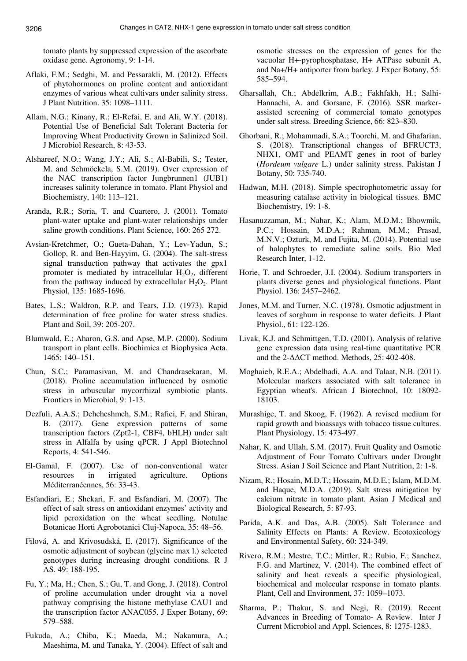tomato plants by suppressed expression of the ascorbate oxidase gene. Agronomy, 9: 1-14.

- Aflaki, F.M.; Sedghi, M. and Pessarakli, M. (2012). Effects of phytohormones on proline content and antioxidant enzymes of various wheat cultivars under salinity stress. J Plant Nutrition. 35: 1098–1111.
- Allam, N.G.; Kinany, R.; El-Refai, E. and Ali, W.Y. (2018). Potential Use of Beneficial Salt Tolerant Bacteria for Improving Wheat Productivity Grown in Salinized Soil. J Microbiol Research, 8: 43-53.
- Alshareef, N.O.; Wang, J.Y.; Ali, S.; Al-Babili, S.; Tester, M. and Schmöckela, S.M. (2019). Over expression of the NAC transcription factor Jungbrunnen1 (JUB1) increases salinity tolerance in tomato. Plant Physiol and Biochemistry, 140: 113–121.
- Aranda, R.R.; Soria, T. and Cuartero, J. (2001). Tomato plant-water uptake and plant-water relationships under saline growth conditions. Plant Science, 160: 265 272.
- Avsian-Kretchmer, O.; Gueta-Dahan, Y.; Lev-Yadun, S.; Gollop, R. and Ben-Hayyim, G. (2004). The salt-stress signal transduction pathway that activates the gpx1 promoter is mediated by intracellular  $H_2O_2$ , different from the pathway induced by extracellular  $H_2O_2$ . Plant Physiol, 135: 1685-1696.
- Bates, L.S.; Waldron, R.P. and Tears, J.D. (1973). Rapid determination of free proline for water stress studies. Plant and Soil, 39: 205-207.
- Blumwald, E.; Aharon, G.S. and Apse, M.P. (2000). Sodium transport in plant cells. Biochimica et Biophysica Acta. 1465: 140–151.
- Chun, S.C.; Paramasivan, M. and Chandrasekaran, M. (2018). Proline accumulation influenced by osmotic stress in arbuscular mycorrhizal symbiotic plants. Frontiers in Microbiol, 9: 1-13.
- Dezfuli, A.A.S.; Dehcheshmeh, S.M.; Rafiei, F. and Shiran, B. (2017). Gene expression patterns of some transcription factors (Zpt2-1, CBF4, bHLH) under salt stress in Alfalfa by using qPCR. J Appl Biotechnol Reports, 4: 541-546.
- El-Gamal, F. (2007). Use of non-conventional water resources in irrigated agriculture. Options Méditerranéennes, 56: 33-43.
- Esfandiari, E.; Shekari, F. and Esfandiari, M. (2007). The effect of salt stress on antioxidant enzymes' activity and lipid peroxidation on the wheat seedling. Notulae Botanicae Horti Agrobotanici Cluj-Napoca, 35: 48–56.
- Filová, A. and Krivosudská, E. (2017). Significance of the osmotic adjustment of soybean (glycine max l.) selected genotypes during increasing drought conditions. R J AS. 49: 188-195.
- Fu, Y.; Ma, H.; Chen, S.; Gu, T. and Gong, J. (2018). Control of proline accumulation under drought via a novel pathway comprising the histone methylase CAU1 and the transcription factor ANAC055. J Exper Botany, 69: 579–588.
- Fukuda, A.; Chiba, K.; Maeda, M.; Nakamura, A.; Maeshima, M. and Tanaka, Y. (2004). Effect of salt and

osmotic stresses on the expression of genes for the vacuolar H+-pyrophosphatase, H+ ATPase subunit A, and Na+/H+ antiporter from barley. J Exper Botany, 55: 585–594.

- Gharsallah, Ch.; Abdelkrim, A.B.; Fakhfakh, H.; Salhi-Hannachi, A. and Gorsane, F. (2016). SSR markerassisted screening of commercial tomato genotypes under salt stress. Breeding Science, 66: 823–830.
- Ghorbani, R.; Mohammadi, S.A.; Toorchi, M. and Ghafarian, S. (2018). Transcriptional changes of BFRUCT3, NHX1, OMT and PEAMT genes in root of barley (*Hordeum vulgare* L.) under salinity stress. Pakistan J Botany, 50: 735-740.
- Hadwan, M.H. (2018). Simple spectrophotometric assay for measuring catalase activity in biological tissues. BMC Biochemistry, 19: 1-8.
- Hasanuzzaman, M.; Nahar, K.; Alam, M.D.M.; Bhowmik, P.C.; Hossain, M.D.A.; Rahman, M.M.; Prasad, M.N.V.; Ozturk, M. and Fujita, M. (2014). Potential use of halophytes to remediate saline soils. Bio Med Research Inter, 1-12.
- Horie, T. and Schroeder, J.I. (2004). Sodium transporters in plants diverse genes and physiological functions. Plant Physiol. 136: 2457–2462.
- Jones, M.M. and Turner, N.C. (1978). Osmotic adjustment in leaves of sorghum in response to water deficits. J Plant Physiol., 61: 122-126.
- Livak, K.J. and Schmittgen, T.D. (2001). Analysis of relative gene expression data using real-time quantitative PCR and the 2-∆∆CT method. Methods, 25: 402-408.
- Moghaieb, R.E.A.; Abdelhadi, A.A. and Talaat, N.B. (2011). Molecular markers associated with salt tolerance in Egyptian wheat's. African J Biotechnol, 10: 18092- 18103.
- Murashige, T. and Skoog, F. (1962). A revised medium for rapid growth and bioassays with tobacco tissue cultures. Plant Physiology, 15: 473-497.
- Nahar, K. and Ullah, S.M. (2017). Fruit Quality and Osmotic Adjustment of Four Tomato Cultivars under Drought Stress. Asian J Soil Science and Plant Nutrition, 2: 1-8.
- Nizam, R.; Hosain, M.D.T.; Hossain, M.D.E.; Islam, M.D.M. and Haque, M.D.A. (2019). Salt stress mitigation by calcium nitrate in tomato plant. Asian J Medical and Biological Research, 5: 87-93.
- Parida, A.K. and Das, A.B. (2005). Salt Tolerance and Salinity Effects on Plants: A Review. Ecotoxicology and Environmental Safety, 60: 324-349.
- Rivero, R.M.; Mestre, T.C.; Mittler, R.; Rubio, F.; Sanchez, F.G. and Martinez, V. (2014). The combined effect of salinity and heat reveals a specific physiological, biochemical and molecular response in tomato plants. Plant, Cell and Environment, 37: 1059–1073.
- Sharma, P.; Thakur, S. and Negi, R. (2019). Recent Advances in Breeding of Tomato- A Review. Inter J Current Microbiol and Appl. Sciences, 8: 1275-1283.